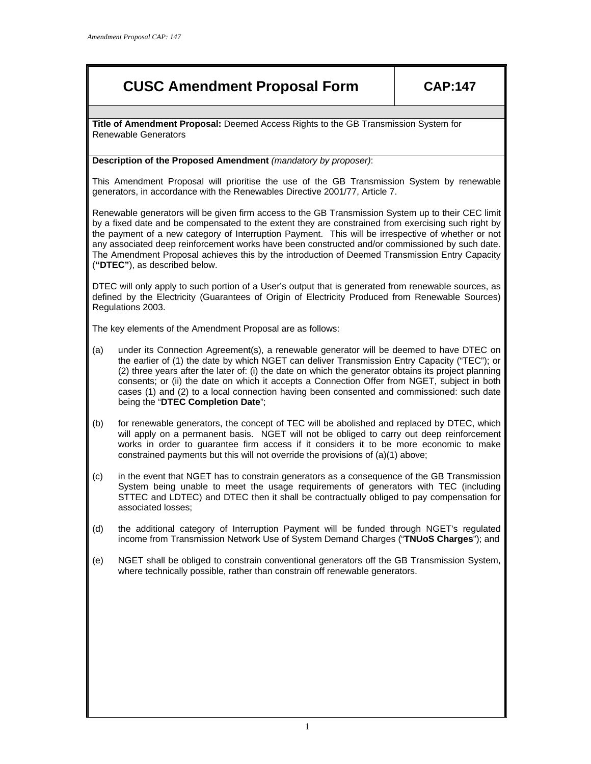# **CUSC Amendment Proposal Form CAP:147**

**Title of Amendment Proposal:** Deemed Access Rights to the GB Transmission System for Renewable Generators

# **Description of the Proposed Amendment** *(mandatory by proposer)*:

This Amendment Proposal will prioritise the use of the GB Transmission System by renewable generators, in accordance with the Renewables Directive 2001/77, Article 7.

Renewable generators will be given firm access to the GB Transmission System up to their CEC limit by a fixed date and be compensated to the extent they are constrained from exercising such right by the payment of a new category of Interruption Payment. This will be irrespective of whether or not any associated deep reinforcement works have been constructed and/or commissioned by such date. The Amendment Proposal achieves this by the introduction of Deemed Transmission Entry Capacity (**"DTEC"**), as described below.

DTEC will only apply to such portion of a User's output that is generated from renewable sources, as defined by the Electricity (Guarantees of Origin of Electricity Produced from Renewable Sources) Regulations 2003.

The key elements of the Amendment Proposal are as follows:

- (a) under its Connection Agreement(s), a renewable generator will be deemed to have DTEC on the earlier of (1) the date by which NGET can deliver Transmission Entry Capacity ("TEC"); or (2) three years after the later of: (i) the date on which the generator obtains its project planning consents; or (ii) the date on which it accepts a Connection Offer from NGET, subject in both cases (1) and (2) to a local connection having been consented and commissioned: such date being the "**DTEC Completion Date**";
- (b) for renewable generators, the concept of TEC will be abolished and replaced by DTEC, which will apply on a permanent basis. NGET will not be obliged to carry out deep reinforcement works in order to guarantee firm access if it considers it to be more economic to make constrained payments but this will not override the provisions of (a)(1) above;
- (c) in the event that NGET has to constrain generators as a consequence of the GB Transmission System being unable to meet the usage requirements of generators with TEC (including STTEC and LDTEC) and DTEC then it shall be contractually obliged to pay compensation for associated losses;
- (d) the additional category of Interruption Payment will be funded through NGET's regulated income from Transmission Network Use of System Demand Charges ("**TNUoS Charges**"); and
- (e) NGET shall be obliged to constrain conventional generators off the GB Transmission System, where technically possible, rather than constrain off renewable generators.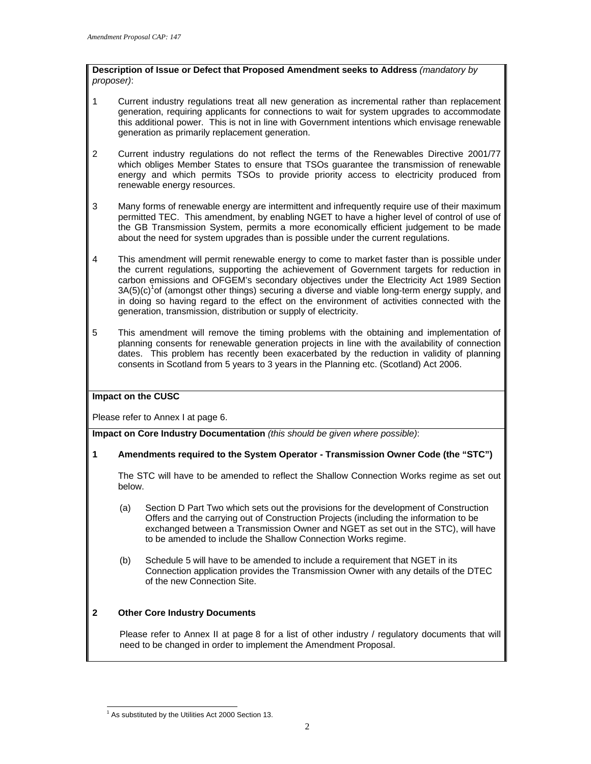**Description of Issue or Defect that Proposed Amendment seeks to Address** *(mandatory by proposer)*:

- 1 Current industry regulations treat all new generation as incremental rather than replacement generation, requiring applicants for connections to wait for system upgrades to accommodate this additional power. This is not in line with Government intentions which envisage renewable generation as primarily replacement generation.
- 2 Current industry regulations do not reflect the terms of the Renewables Directive 2001/77 which obliges Member States to ensure that TSOs guarantee the transmission of renewable energy and which permits TSOs to provide priority access to electricity produced from renewable energy resources.
- 3 Many forms of renewable energy are intermittent and infrequently require use of their maximum permitted TEC. This amendment, by enabling NGET to have a higher level of control of use of the GB Transmission System, permits a more economically efficient judgement to be made about the need for system upgrades than is possible under the current regulations.
- 4 This amendment will permit renewable energy to come to market faster than is possible under the current regulations, supporting the achievement of Government targets for reduction in carbon emissions and OFGEM's secondary objectives under the Electricity Act 1989 Section  $3A(5)(c)<sup>1</sup>$ of (amongst other things) securing a diverse and viable long-term energy supply, and in doing so having regard to the effect on the environment of activities connected with the generation, transmission, distribution or supply of electricity.
- 5 This amendment will remove the timing problems with the obtaining and implementation of planning consents for renewable generation projects in line with the availability of connection dates. This problem has recently been exacerbated by the reduction in validity of planning consents in Scotland from 5 years to 3 years in the Planning etc. (Scotland) Act 2006.

# **Impact on the CUSC**

Please refer to Annex I at page 6.

**Impact on Core Industry Documentation** *(this should be given where possible)*:

# **1 Amendments required to the System Operator - Transmission Owner Code (the "STC")**

The STC will have to be amended to reflect the Shallow Connection Works regime as set out below.

- (a) Section D Part Two which sets out the provisions for the development of Construction Offers and the carrying out of Construction Projects (including the information to be exchanged between a Transmission Owner and NGET as set out in the STC), will have to be amended to include the Shallow Connection Works regime.
- (b) Schedule 5 will have to be amended to include a requirement that NGET in its Connection application provides the Transmission Owner with any details of the DTEC of the new Connection Site.

# **2 Other Core Industry Documents**

Please refer to Annex II at page 8 for a list of other industry / regulatory documents that will need to be changed in order to implement the Amendment Proposal.

l <sup>1</sup> As substituted by the Utilities Act 2000 Section 13.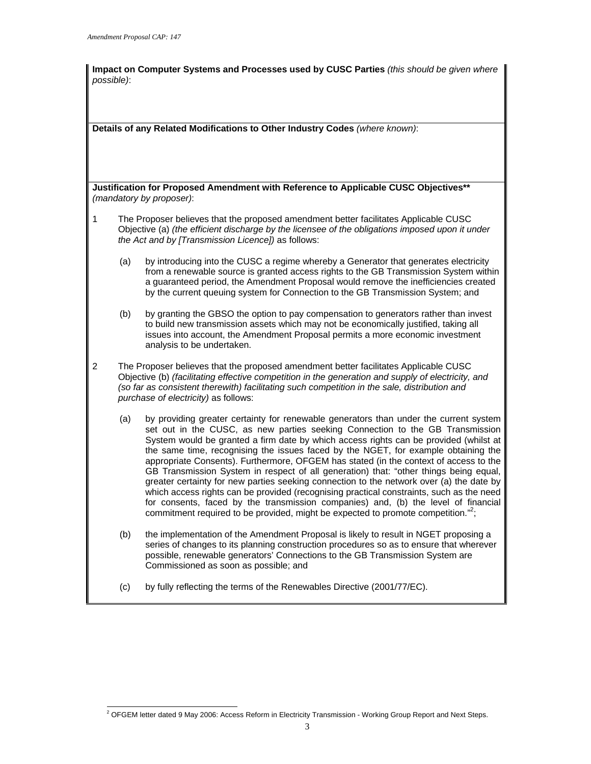**Impact on Computer Systems and Processes used by CUSC Parties** *(this should be given where possible)*:

**Details of any Related Modifications to Other Industry Codes** *(where known)*:

**Justification for Proposed Amendment with Reference to Applicable CUSC Objectives\*\***  *(mandatory by proposer)*:

- 1 The Proposer believes that the proposed amendment better facilitates Applicable CUSC Objective (a) *(the efficient discharge by the licensee of the obligations imposed upon it under the Act and by [Transmission Licence])* as follows:
	- (a) by introducing into the CUSC a regime whereby a Generator that generates electricity from a renewable source is granted access rights to the GB Transmission System within a guaranteed period, the Amendment Proposal would remove the inefficiencies created by the current queuing system for Connection to the GB Transmission System; and
	- (b) by granting the GBSO the option to pay compensation to generators rather than invest to build new transmission assets which may not be economically justified, taking all issues into account, the Amendment Proposal permits a more economic investment analysis to be undertaken.
- 2 The Proposer believes that the proposed amendment better facilitates Applicable CUSC Objective (b) *(facilitating effective competition in the generation and supply of electricity, and (so far as consistent therewith) facilitating such competition in the sale, distribution and purchase of electricity)* as follows:
	- (a) by providing greater certainty for renewable generators than under the current system set out in the CUSC, as new parties seeking Connection to the GB Transmission System would be granted a firm date by which access rights can be provided (whilst at the same time, recognising the issues faced by the NGET, for example obtaining the appropriate Consents). Furthermore, OFGEM has stated (in the context of access to the GB Transmission System in respect of all generation) that: "other things being equal, greater certainty for new parties seeking connection to the network over (a) the date by which access rights can be provided (recognising practical constraints, such as the need for consents, faced by the transmission companies) and, (b) the level of financial commitment required to be provided, might be expected to promote competition."<sup>2</sup>;
	- (b) the implementation of the Amendment Proposal is likely to result in NGET proposing a series of changes to its planning construction procedures so as to ensure that wherever possible, renewable generators' Connections to the GB Transmission System are Commissioned as soon as possible; and
	- (c) by fully reflecting the terms of the Renewables Directive (2001/77/EC).

l <sup>2</sup> OFGEM letter dated 9 May 2006: Access Reform in Electricity Transmission - Working Group Report and Next Steps.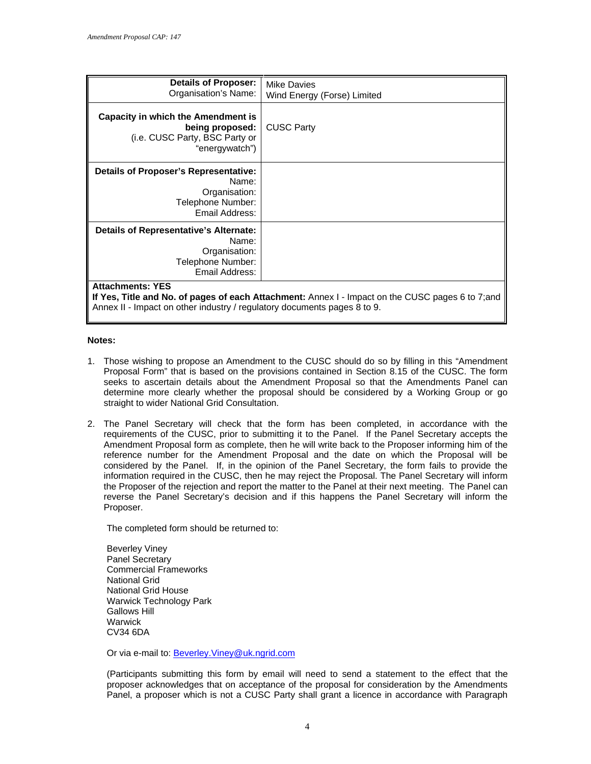| Details of Proposer:<br>Organisation's Name:                                                                                | <b>Mike Davies</b><br>Wind Energy (Forse) Limited |
|-----------------------------------------------------------------------------------------------------------------------------|---------------------------------------------------|
| Capacity in which the Amendment is<br>being proposed:<br>(i.e. CUSC Party, BSC Party or<br>"energywatch")                   | <b>CUSC Party</b>                                 |
| <b>Details of Proposer's Representative:</b><br>Name:<br>Organisation:<br>Telephone Number:<br>Email Address:               |                                                   |
| Details of Representative's Alternate:<br>Name:<br>Organisation:<br>Telephone Number:<br>Email Address:                     |                                                   |
| <b>Attachments: YES</b><br>If Yes, Title and No. of pages of each Attachment: Annex I - Impact on the CUSC pages 6 to 7;and |                                                   |

Annex II - Impact on other industry / regulatory documents pages 8 to 9.

#### **Notes:**

- 1. Those wishing to propose an Amendment to the CUSC should do so by filling in this "Amendment Proposal Form" that is based on the provisions contained in Section 8.15 of the CUSC. The form seeks to ascertain details about the Amendment Proposal so that the Amendments Panel can determine more clearly whether the proposal should be considered by a Working Group or go straight to wider National Grid Consultation.
- 2. The Panel Secretary will check that the form has been completed, in accordance with the requirements of the CUSC, prior to submitting it to the Panel. If the Panel Secretary accepts the Amendment Proposal form as complete, then he will write back to the Proposer informing him of the reference number for the Amendment Proposal and the date on which the Proposal will be considered by the Panel. If, in the opinion of the Panel Secretary, the form fails to provide the information required in the CUSC, then he may reject the Proposal. The Panel Secretary will inform the Proposer of the rejection and report the matter to the Panel at their next meeting. The Panel can reverse the Panel Secretary's decision and if this happens the Panel Secretary will inform the Proposer.

The completed form should be returned to:

Beverley Viney Panel Secretary Commercial Frameworks National Grid National Grid House Warwick Technology Park Gallows Hill **Warwick** CV34 6DA

Or via e-mail to: **Beverley. Viney@uk.ngrid.com** 

(Participants submitting this form by email will need to send a statement to the effect that the proposer acknowledges that on acceptance of the proposal for consideration by the Amendments Panel, a proposer which is not a CUSC Party shall grant a licence in accordance with Paragraph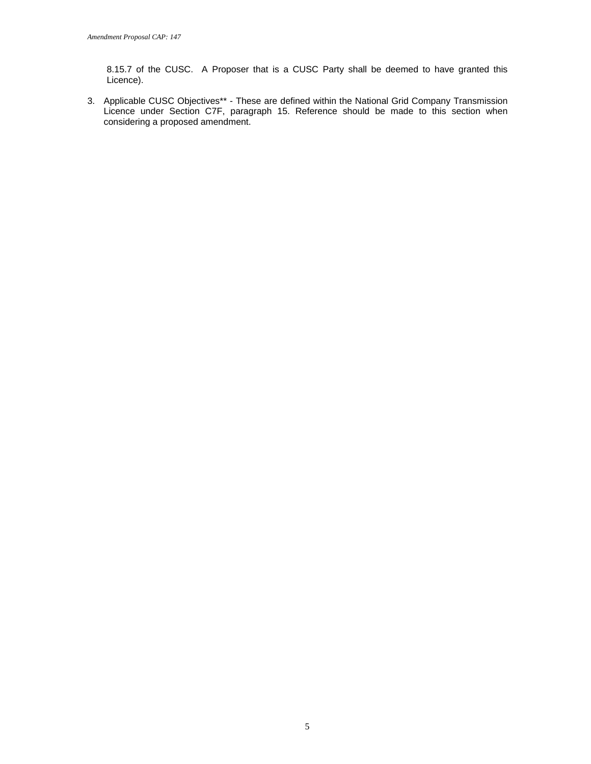8.15.7 of the CUSC. A Proposer that is a CUSC Party shall be deemed to have granted this Licence).

3. Applicable CUSC Objectives\*\* - These are defined within the National Grid Company Transmission Licence under Section C7F, paragraph 15. Reference should be made to this section when considering a proposed amendment.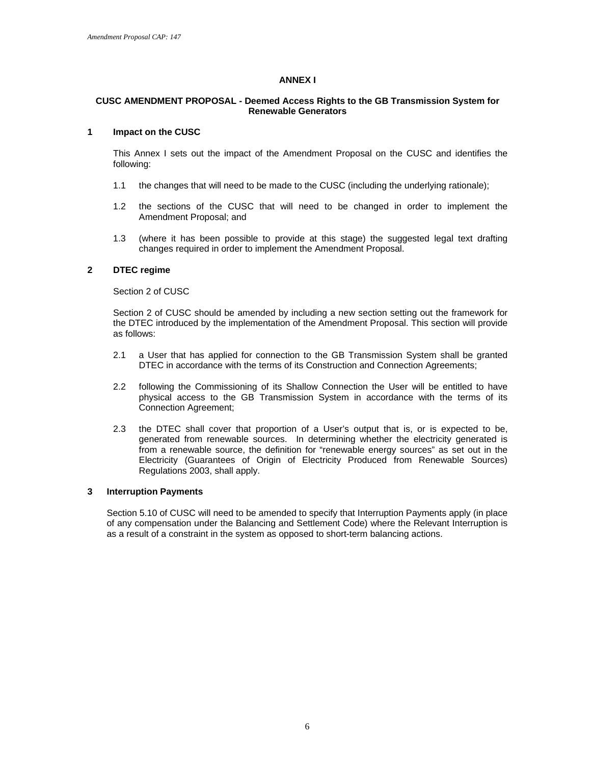### **ANNEX I**

#### **CUSC AMENDMENT PROPOSAL - Deemed Access Rights to the GB Transmission System for Renewable Generators**

#### **1 Impact on the CUSC**

This Annex I sets out the impact of the Amendment Proposal on the CUSC and identifies the following:

- 1.1 the changes that will need to be made to the CUSC (including the underlying rationale);
- 1.2 the sections of the CUSC that will need to be changed in order to implement the Amendment Proposal; and
- 1.3 (where it has been possible to provide at this stage) the suggested legal text drafting changes required in order to implement the Amendment Proposal.

#### **2 DTEC regime**

Section 2 of CUSC

Section 2 of CUSC should be amended by including a new section setting out the framework for the DTEC introduced by the implementation of the Amendment Proposal. This section will provide as follows:

- 2.1 a User that has applied for connection to the GB Transmission System shall be granted DTEC in accordance with the terms of its Construction and Connection Agreements;
- 2.2 following the Commissioning of its Shallow Connection the User will be entitled to have physical access to the GB Transmission System in accordance with the terms of its Connection Agreement;
- 2.3 the DTEC shall cover that proportion of a User's output that is, or is expected to be, generated from renewable sources. In determining whether the electricity generated is from a renewable source, the definition for "renewable energy sources" as set out in the Electricity (Guarantees of Origin of Electricity Produced from Renewable Sources) Regulations 2003, shall apply.

#### **3 Interruption Payments**

Section 5.10 of CUSC will need to be amended to specify that Interruption Payments apply (in place of any compensation under the Balancing and Settlement Code) where the Relevant Interruption is as a result of a constraint in the system as opposed to short-term balancing actions.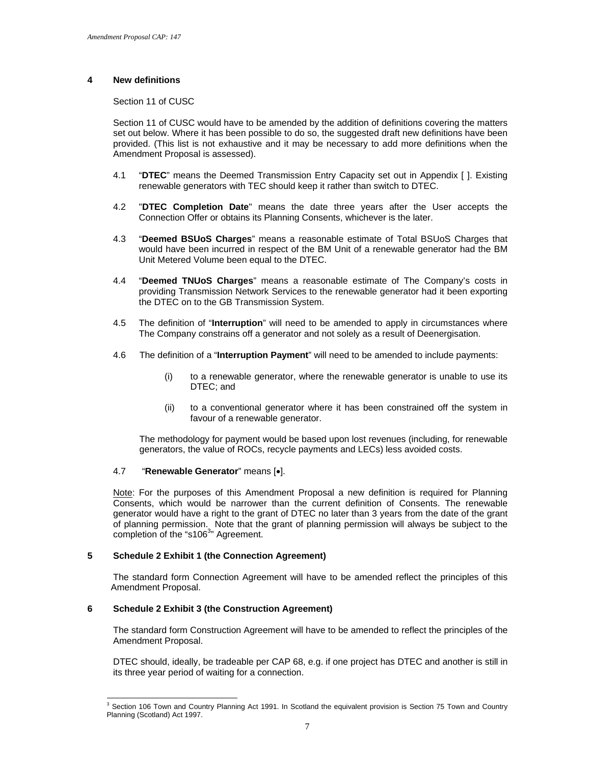# **4 New definitions**

Section 11 of CUSC

Section 11 of CUSC would have to be amended by the addition of definitions covering the matters set out below. Where it has been possible to do so, the suggested draft new definitions have been provided. (This list is not exhaustive and it may be necessary to add more definitions when the Amendment Proposal is assessed).

- 4.1 "**DTEC**" means the Deemed Transmission Entry Capacity set out in Appendix [ ]. Existing renewable generators with TEC should keep it rather than switch to DTEC.
- 4.2 "**DTEC Completion Date**" means the date three years after the User accepts the Connection Offer or obtains its Planning Consents, whichever is the later.
- 4.3 "**Deemed BSUoS Charges**" means a reasonable estimate of Total BSUoS Charges that would have been incurred in respect of the BM Unit of a renewable generator had the BM Unit Metered Volume been equal to the DTEC.
- 4.4 "**Deemed TNUoS Charges**" means a reasonable estimate of The Company's costs in providing Transmission Network Services to the renewable generator had it been exporting the DTEC on to the GB Transmission System.
- 4.5 The definition of "**Interruption**" will need to be amended to apply in circumstances where The Company constrains off a generator and not solely as a result of Deenergisation.
- 4.6 The definition of a "**Interruption Payment**" will need to be amended to include payments:
	- (i) to a renewable generator, where the renewable generator is unable to use its DTEC; and
	- (ii) to a conventional generator where it has been constrained off the system in favour of a renewable generator.

 The methodology for payment would be based upon lost revenues (including, for renewable generators, the value of ROCs, recycle payments and LECs) less avoided costs.

# 4.7 "**Renewable Generator**" means [•].

Note: For the purposes of this Amendment Proposal a new definition is required for Planning Consents, which would be narrower than the current definition of Consents. The renewable generator would have a right to the grant of DTEC no later than 3 years from the date of the grant of planning permission. Note that the grant of planning permission will always be subject to the completion of the "s106<sup>3</sup>" Agreement.

# **5 Schedule 2 Exhibit 1 (the Connection Agreement)**

The standard form Connection Agreement will have to be amended reflect the principles of this Amendment Proposal.

# **6 Schedule 2 Exhibit 3 (the Construction Agreement)**

The standard form Construction Agreement will have to be amended to reflect the principles of the Amendment Proposal.

DTEC should, ideally, be tradeable per CAP 68, e.g. if one project has DTEC and another is still in its three year period of waiting for a connection.

 3 Section 106 Town and Country Planning Act 1991. In Scotland the equivalent provision is Section 75 Town and Country Planning (Scotland) Act 1997.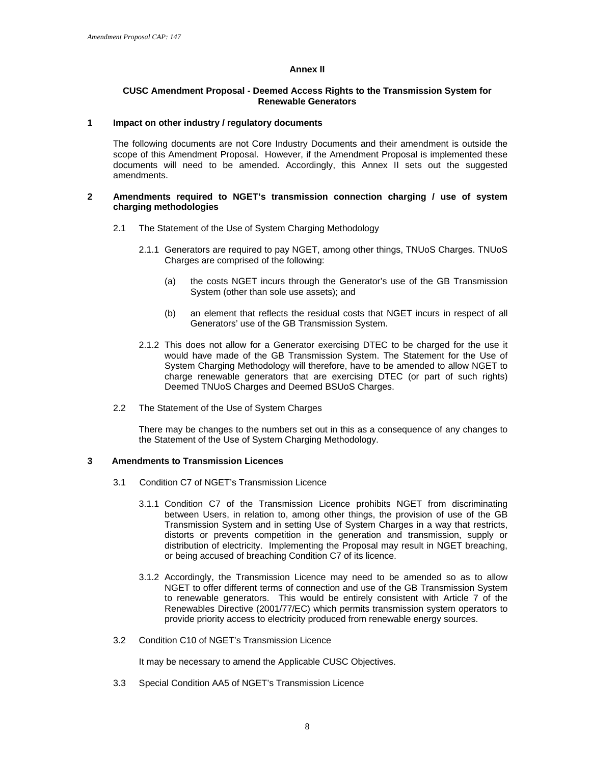#### **Annex II**

#### **CUSC Amendment Proposal - Deemed Access Rights to the Transmission System for Renewable Generators**

#### **1 Impact on other industry / regulatory documents**

The following documents are not Core Industry Documents and their amendment is outside the scope of this Amendment Proposal. However, if the Amendment Proposal is implemented these documents will need to be amended. Accordingly, this Annex II sets out the suggested amendments.

#### **2 Amendments required to NGET's transmission connection charging / use of system charging methodologies**

- 2.1 The Statement of the Use of System Charging Methodology
	- 2.1.1 Generators are required to pay NGET, among other things, TNUoS Charges. TNUoS Charges are comprised of the following:
		- (a) the costs NGET incurs through the Generator's use of the GB Transmission System (other than sole use assets); and
		- (b) an element that reflects the residual costs that NGET incurs in respect of all Generators' use of the GB Transmission System.
	- 2.1.2 This does not allow for a Generator exercising DTEC to be charged for the use it would have made of the GB Transmission System. The Statement for the Use of System Charging Methodology will therefore, have to be amended to allow NGET to charge renewable generators that are exercising DTEC (or part of such rights) Deemed TNUoS Charges and Deemed BSUoS Charges.
- 2.2 The Statement of the Use of System Charges

There may be changes to the numbers set out in this as a consequence of any changes to the Statement of the Use of System Charging Methodology.

#### **3 Amendments to Transmission Licences**

- 3.1 Condition C7 of NGET's Transmission Licence
	- 3.1.1 Condition C7 of the Transmission Licence prohibits NGET from discriminating between Users, in relation to, among other things, the provision of use of the GB Transmission System and in setting Use of System Charges in a way that restricts, distorts or prevents competition in the generation and transmission, supply or distribution of electricity. Implementing the Proposal may result in NGET breaching, or being accused of breaching Condition C7 of its licence.
	- 3.1.2 Accordingly, the Transmission Licence may need to be amended so as to allow NGET to offer different terms of connection and use of the GB Transmission System to renewable generators. This would be entirely consistent with Article 7 of the Renewables Directive (2001/77/EC) which permits transmission system operators to provide priority access to electricity produced from renewable energy sources.
- 3.2 Condition C10 of NGET's Transmission Licence

It may be necessary to amend the Applicable CUSC Objectives.

3.3 Special Condition AA5 of NGET's Transmission Licence